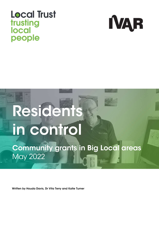## **Local Trust** trusting local people



# Residents in control

Community grants in Big Local areas May 2022

Written by Houda Davis, Dr Vita Terry and Katie Turner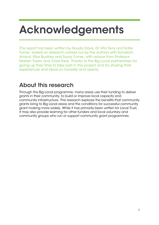## Acknowledgements

This report has been written by Houda Davis, Dr Vita Terry and Katie Turner, based on research carried out by the authors with Sonakshi Anand, Eliza Buckley and Surya Turner, with advice from Professor Marilyn Taylor and Clare Kiely. Thanks to the Big Local partnerships for giving up their time to take part in this project and for sharing their experiences and ideas so honestly and openly.

### About this research

Through the Big Local programme, many areas use their funding to deliver grants in their community, to build or improve local capacity and community infrastructure. This research explores the benefits that community grants bring to Big Local areas and the conditions for successful community grant making more widely. While it has primarily been written for Local Trust, it may also provide learning for other funders and local voluntary and community groups who run or support community grant programmes.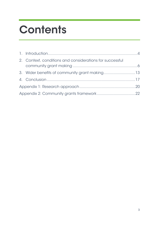## **Contents**

|  | 2. Context, conditions and considerations for successful |  |  |
|--|----------------------------------------------------------|--|--|
|  | 3. Wider benefits of community grant making13            |  |  |
|  |                                                          |  |  |
|  |                                                          |  |  |
|  |                                                          |  |  |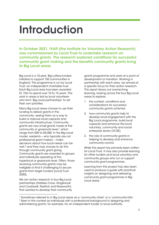## Introduction

In October 2021, IVAR (the Institute for Voluntary Action Research) was commissioned by Local Trust to undertake research on community grants. The research explored conditions for successful community grant making and the benefits community grants bring to Big Local areas.

Big Local is a 15-year, Big Lottery-funded initiative to support 150 communities in England. The programme is run by Local Trust, an independent charitable trust. Each Big Local area has been awarded £1.15m to spend over 10 to 15 years. The work in areas is led by local volunteers who form 'Big Local partnerships' to set their own priorities.

Many Big Local areas choose to use their funding to deliver grants in the community, seeing them as a way to build or improve local capacity and community infrastructure. Community grants are very small grants made at the community or grassroots level,<sup>1</sup> which range from £50 to £5,000. In the Big Local model, residents – who typically are not professional grant makers – make decisions about how local needs can be met,<sup>2</sup> and they may choose to do this through community grant giving. Community grants are awarded to groups and individuals operating at the hyperlocal or grassroots level. Often, those receiving community grants may be ineligible or find it challenging to secure grants from larger funders (Local Trust, 2020).

We ran action research in four Big Local partnerships (Hateley Cross, Kingsbrook and Cauldwell, Rastrick and Roseworth) that wanted to develop their community grants programme and were at a point of development or transition. Working in partnership with each area, we arrived at a specific focus for their action research. This report draws out overarching learning, looking across the four Big Local areas to explore:

- 1. the context, conditions and considerations for successful community grants schemes
- 2. how community grants help to develop local engagement with the Big Local programme, build local capacity and enhance the local voluntary, community and social enterprise sector (VCSE)
- 3. the role of community grants in helping to develop and enhance community control.

While this report has primarily been written for Local Trust, it may also provide learning for other funders and local voluntary and community groups who run or support community grant programmes.

Learning from this project has also been used to produce a guide with practical insights on designing and delivering community grant programmes in Big Local areas.

<sup>1</sup> Sometimes referred to in Big Local areas as a 'community chest' or a 'community kitty'. <sup>2</sup> Seen in this context as individuals with a professional background in designing and

administering grants, for example, for an independent funder or local authority.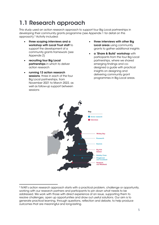## 1.1 Research approach

This study used an action research approach to support four Big Local partnerships in developing their community grants programme (see Appendix 1 for detail on this approach).<sup>3</sup> Activity included:

- three scoping interviews and a workshop with Local Trust staff to support the development of a community grants framework (see Appendix 2)
- recruiting four Big Local partnerships in which to deliver action research
- running 12 action research sessions, three in each of the four Big Local partnerships, from November 2021 to March 2022, as well as follow-up support between sessions
- three interviews with other Big Local areas using community grants to gather additional insights
- a 'Share & Build' workshop with participants from the four Big Local partnerships, where we shared emerging findings and codesigned a guide with practical insights on designing and delivering community grant programmes in Big Local areas.



<sup>3</sup> IVAR's action research approach starts with a practical problem, challenge or opportunity, working with our research partners and participants to pin down what needs to be addressed. We work with those with direct experience of an issue, supporting them to resolve challenges, open up opportunities and draw out useful solutions. Our aim is to generate practical learning, through questions, reflection and debate, to help produce outcomes that are meaningful and long-lasting.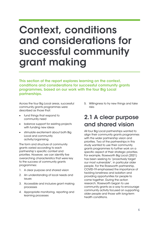## Context, conditions and considerations for successful community grant making

This section of the report explores learning on the context, conditions and considerations for successful community grants programmes, based on our work with the four Big Local partnerships.

Across the four Big Local areas, successful community grants programmes were described as those that:

- fund things that respond to community need
- balance support for existing projects with funding new ideas
- stimulate excitement about both Big Local and community activity/organising.

The form and structure of community grants varied according to each partnership's specific context and priorities. However, we can identify five overarching characteristics that were key to the success of community grants programmes:

- 1. A clear purpose and shared vision
- 2. An understanding of local needs and issues
- 3. Accessible and inclusive grant making processes
- 4. Appropriate monitoring, reporting and learning processes

5. Willingness to try new things and take risks

### 2.1 A clear purpose and shared vision

All four Big Local partnerships wanted to align their community grants programmes with the wider partnership vision and priorities. Two of the partnerships in this study wanted to use their community grants programmes to further work on a specific aspect of their strategic priorities. For example, Roseworth Big Local (2021) has been seeking to "proactively target our most vulnerable", in particular older people. For the Roseworth partnership, COVID-19 emphasised the importance of tackling loneliness and isolation and providing opportunities for people to come together. During the action research, Roseworth began to use community grants as a way to encourage community activity focused on supporting older people and those with long-term health conditions.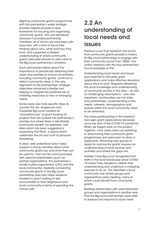Aligning community grants programmes with the partnership's wider strategic priorities helped provide a clear framework for focusing and organising community grants. This was beneficial because it provided partnership members, all of whom are volunteers with busy lives, with a lens to focus their thinking about who, what and how they fund, and supported a deeper understanding of where community grants were best placed to add value to the Big Local partnership's ambition.

Each partnership talked about the importance of periodically refreshing their vision and priorities to ensure all activities, including community grants, continue to reflect community need. In this way, alignment to the partnerships' strategic objectives remained a flexible tool, helping to mitigate the potential risk of inhibiting responses to new or emerging needs.

Some areas also took specific steps to counter this risk. Kingsbrook and Cauldwell Big Local created an 'innovations pot' of grant funding for projects that are outside the partnership's priorities but where there is identifiable community benefit. For example, one idea which has been suggested is supporting The Moth, a space which celebrates the art and craft of personal storytelling.

A clear, well understood vision helps support a strong narrative about what community grants are and what they can be used for, that can be communicated with external stakeholders (such as partner organisations, the partnership's locally trusted organisation (LTO) and the local community). Explicitly connecting community grants to the Big Local partnership plan also helps residents involved in grant making to feel accountable to their neighbours and local community in terms of spending the money well.

### 2.2 An understanding of local needs and issues

Previous Local Trust research has found that community grants provide a means for Big Local partnerships to engage with their community (Local Trust, 2020). Our action research with the four partnerships found examples of this.

Understanding local needs and issues was essential to stimulate grant applications and make effective decisions about what to fund. Regularly refreshing this local knowledge and understanding of community activity in the area – as well as challenging assumptions – was also important: communities are not static, and partnerships' understanding of the needs, interests, demographics and spaces within the local community need to be refreshed.

The areas participating in this research had seen grant applications decrease since the start of the COVID-19 pandemic. When we began work on this project together, most areas were just restarting or relaunching their community grant programmes and were keen to draw in applicants. Attracting new groups to apply for community grants requires an understanding of local services and activities and where the gaps are.

Hateley Cross Big Local recognised that shifts in the local landscape since COVID-19 meant they needed to refresh their understanding and undertook a mapping exercise to do so. This identified a local community hub where groups and organisations were meeting, many of which could benefit from community grants.

Building relationships with well-networked groups and organisations is another way that the Big Local partnerships were able to explore and respond to local need: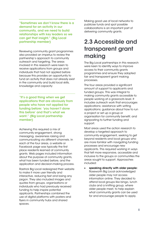"Sometimes we don't know there is a demand for an activity in our community, and we need to build relationships with key leaders so we can get that insight." (Big Local partnership member)

Reviewing community grant programmes also provided an impetus to review the partnership's approach to community outreach and targeting. The areas involved in this research were keen to receive applications from groups and individuals that had not applied before because this provides an opportunity to fund an activity that does not already exist in the community and build local skills, knowledge and capacity:

"It's a good thing when we get applications that are obviously from people who have not applied for funding before: 'you haven't done this before' and that's what we want." (Big Local partnership member)

Achieving this required a mix of community engagement, strong messaging, awareness raising and communicating via different channels. In each of the four areas, a website or Facebook page was typically the first place residents learned of community grants. Web pages included information about the purpose of community grants, what has been funded before, and the application and decision-making process.

Rastrick Big Local redesigned their website to make it more user friendly and interactive, reducing text and losing any jargon. They also included images and quotes from groups, organisations or individuals who had previously received funding to help inspire potential applicants. Partnerships combined the use of digital platforms with posters and flyers in community hubs and shared spaces.

Making good use of local networks to publicise funds and spot possible collaborations is an important part of delivering community grants.

### 2.3 Accessible and transparent grant making

The Big Local partnerships in this research were keen to identify ways to improve access to their community grants programmes and ensure they adopted fair and transparent grant making processes.

The four areas provided a significant amount of support to applicants and funded groups. This was integral to making community grants accessible to people working at a grassroots level. It includes outreach work that encourages applications; assistance with writing applications; guidance about how to run a project or set up a group or organisation for community benefit; and signposting to further funding and support.

Most areas used the action research to develop a targeted approach to community engagement, seeking to get beyond residents and local groups who are more familiar with navigating funding processes and encourage new applicants. This required working in ways that felt more responsive, accessible and inclusive to the groups or communities the areas sought to support. Approaches included:

• speaking directly with older people: Roseworth Big Local acknowledged older people may not access information online. They decided to attend local groups like bingo, lunch clubs and a knitting group, where older people meet, to help explain what community grants can be used for and encourage people to apply.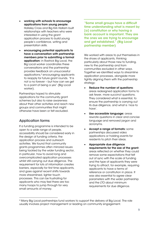- working with schools to encourage applications from young people: Hateley Cross and Big Kirk Hallam built relationships with teachers who were interested in using the grant application process to build young people's confidence, writing and presentation skills.
- encouraging potential applicants to have a conversation with partnership members prior to submitting a formal application: in Rastrick Big Local, the Big Local worker coordinates these conversations and the partnership provides feedback on unsuccessful applications,<sup>4</sup> encouraging applicants to reapply for future grant rounds. "It is not a no forever – but how can we get to a point of being a yes" (Big Local worker).

Partnerships hoped to stimulate applications for the community grant schemes but also to raise awareness about their other activities and reach new groups and communities that might otherwise have been or felt excluded.

### Application forms

If a funding programme is intended to be open to a wide range of people, accessibility should be considered early in the design of funding criteria, the application process and outreach activities. We found that community grants programmes often mirrored issues being tackled by the wider funding sector, in particular, how to avoid long and overcomplicated application processes whilst still carrying out due diligence. The requirement for lots of information creates barriers, especially for first time applicants, and goes against recent shifts towards more streamlined, lighter touch processes. This can be frustrating for applicants who may feel there are too many hoops to jump through for very small amounts of money.

"Some small groups have a difficult time understanding what is meant by [a] constitution or why having a bank account is important. They are the ones we are trying to encourage and get established." (Big Local partnership member)

We worked with areas to put themselves in the shoes of applicants, thinking particularly about those new to funding, new to the partnership and from communities excluded in other ways. Together we identified ways to streamline application processes, alongside more tightly aligning them with the partnership strategy:

- Reduce the number of questions: areas redesigned application forms to ask fewer, more succinct questions. They considered what is essential, to ensure the partnership is carrying out its due diligence, and what is 'nice to have'.
- Use accessible language: areas rewrote questions in clear and concise language and removed jargon and acronyms.
- Accept a range of formats: some partnerships discussed video applications or holding events for residents to pitch their ideas.
- Appropriate due diligence requirements for the size of the grant: areas reflected on whether they could remove some expectations that felt out of sync with the scale of funding and the type of applicants they were trying to attract, for example, requiring applicants to have a terms of reference or constitution in place. It was also essential to agree clear parameters with the wider partnership and the LTO about minimum requirements for due diligence.

<sup>4</sup> Many Big Local partnerships fund workers to support the delivery of Big Local. The role usually involves project management or leading on community engagement.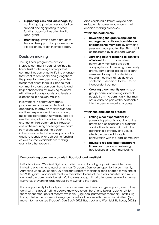- Supporting skills and knowledge: by continuing to provide pre-application support and signposting to other funding opportunities after the Big Local arant.
- User testing: inviting some groups to test out the application process once it is designed, to get their feedback.

### Decision making

The Big Local programme aims to increase community control, defined by Local Trust as the range of ways that communities can bring to life the changes they want to see locally and giving them the power to make decisions about the things that affect them. It is hoped that community grants can contribute to and help enhance this by involving residents with different backgrounds and levels of experience in decision making.

Involvement in community grants programmes provides residents with an opportunity to draw on their knowledge and lived experience of the local area, to make decisions about how resources are used to bring about positive and lasting change for their communities. However, one of the recurring challenges we heard from areas was about the power imbalance created when one party holds and is responsible for distributing funding, as well as when residents are making grants to other residents.

Areas explored different ways to help mitigate this power imbalance in their decision-making processes:

#### Within the partnership:

- Developing the grants/application management skills and confidence of partnership members by providing peer learning opportunities. This might be facilitated by a Big Local worker.
- Agreeing how to respond to conflicts of interest that can arise when community members are both applying for and assessing community grants. Some areas asked applicant members to step out of decisionmaking meetings, others deferred contentious decisions to the LTO/an independent partner.
- Creating a community grants subgroup/panel and inviting different people from the community that may not already be part of the partnership into the decision-making process.

#### Within the application process:

- Setting clear expectations for potential applicants about what the grants can be used for. For example, applications have to align with the partnership's strategy and values, which are decided through consultation with the local community.
- Having a realistic and transparent timescale in place for reviewing applications and communicating

#### Democratising community grants in Radstock and Westfield

In Radstock and Westfield Big Local, individuals and small groups with new ideas are invited to pitch for funding at an annual 'Dragon's Den' event open to the community. Attracting up to 200 people, 20 applicants present their ideas for a chance to win one of ten £500 grants. Applicants must link their ideas to one of the area's priorities and must demonstrate community benefit. Voting rules apply, with all attendees required to place five votes, preventing large groups from swinging the votes.

It is an opportunity for local groups to showcase their ideas and get support, even if they don't win. It's about "letting people know you're out there" and being "able to talk to them about other pots of money available" (Big Local partnership member). For this Big Local, it helps the partnership engage more local people with their main priorities. (For more information see *Dragon's Den 8 July 2022*, Radstock and Westfield Big Local, 2022.)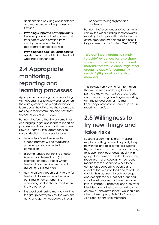decisions and ensuring applicants are also made aware of the process and timeline.

- Providing support to new applicants to develop ideas but being clear and transparent when pivoting from working alongside potential applicants to an assessor role.
- Providing feedback on unsuccessful applications and publishing details of what has been funded.

### 2.4 Appropriate monitoring, reporting and learning processes

Appropriate monitoring processes, along with opportunities to review and reflect on the data gathered, help partnerships to learn about the difference their grants are making in their community and how they are doing as a grant maker.

Partnerships found that it was sometimes challenging to get applicants to report on progress and how grants had been spent. However, some useful approaches to data collection in the areas include:

- being clear from the outset that funded partners will be required to provide updates on project completion
- allowing funded partners to choose *how* to provide feedback (for example, photos, video or written feedback from service users) and agreeing to this early on
- having different touch points to ask for feedback, for example in the grant confirmation email, when the monitoring pack is shared, and when the project ends
- Big Local partnership members visiting the group/activity to view the work first hand and gather feedback, although

capacity was highlighted as a challenge.

Partnerships' experiences reflect a similar shift by the wider funding sector towards reporting that is proportionate to the size of the grant and meaningful and useful for grantees and for funders (IVAR, 2021):

"We don't want groups to simply [provide] evidence, but also share stories and use this as promotional material that would encourage other groups to apply for community grants." (Big Local partnership member)

This includes only asking for information that will be used and letting funded partners know how it will be used. A brief discussion to design and agree reporting with the funded partner – format, frequency and content – can help ensure reporting is useful.

### 2.5 Willingness to try new things and take risks

Successful community grant making requires a willingness and capacity to try new things and take some risks. Rastrick Big Local see community grants as a way to support new local ideas, ideally with groups they have not funded before. They recognise that encouraging new ideas means that the partnership has to be comfortable supporting people and activities that are not 'tried and tested'. To do this, their partnership acknowledges and accepts the risk that not all funded activities will succeed or have the same level of impact. Kingsbrook and Cauldwell identified one of their aims as taking a risk on new or innovative ideas: "we should be able to take a punt, life is full of punts!" (Big Local partnership member).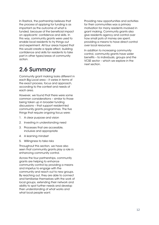In Rastrick, the partnership believes that the *process* of applying for funding is as important as the outcome of what is funded, because of the beneficial impact on applicants' confidence and skills. In this way, community grants were used to enable local residents to try things out and experiment. All four areas hoped that this would create a ripple effect, building confidence and skills for residents to take part in other types/areas of community action.

### 2.6 Summary

Community grant making looks different in each Big Local area – it varies in terms of the exact process, focus and approach, according to the context and needs of each area.

However, we found that there were some common considerations – similar to those being taken up in broader funding discussions – that support resident-led community grants programmes. The five things that require ongoing focus were:

- 1. A clear purpose and vision
- 2. Investing in understanding need
- 3. Processes that are accessible, inclusive and appropriate
- 4. A learning mindset
- 5. Willingness to take risks

Throughout this section, we have also seen that community grants play a role in enhancing community control.

Across the four partnerships, community grants are helping to enhance community control by providing a means and impetus to engage with the community and reach out to new groups. By reaching out, they are able to connect and familiarise themselves with the work of local groups, extending their network and ability to spot further needs and develop their understanding of what works and what local people want.

Providing new opportunities and activities for their communities was a primary motivation for many residents involved in grant making. Community grants also give residents agency and control over how small pots of money are spent, providing a means to have direct control over local resources.

In addition to increasing community control, community grants have wider benefits – to individuals, groups and the VCSE sector – which we explore in the next section.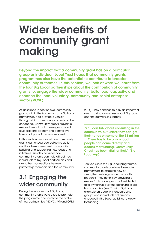## Wider benefits of community grant making

Beyond the impact that a community grant has on a particular group or individual, Local Trust hopes that community grants programmes also have the potential to contribute to broader community outcomes. In this section, we look at what we learnt from the four Big Local partnerships about the contribution of community grants to: engage the wider community; build local capacity; and enhance the local voluntary, community and social enterprise sector (VCSE).

As described in section two, community grants, within the framework of a Big Local partnership, also provide a vehicle through which community control can be enhanced. Community grants provide a means to reach out to new groups and give residents agency and control over how small pots of money are spent.

In this section, we look at how community grants can encourage collective action and local empowerment by capacity building and supporting new ideas and initiatives. We also consider how community grants can help attract new individuals to Big Local partnerships and strengthen connections between partnership members and the community.

### 3.1 Engaging the wider community

During the early years of Big Local, community grants were used to promote the programme and increase the profile of new partnerships (NCVO, IVR and OPM, 2014). They continue to play an important role in raising awareness about Big Local and the activities it supports:

"You can talk about consulting in the community, but unless they can get their hands on some of the £1 million … There has to be a way local people can come directly and access that funding. Community Chest has been vital for that." (Big Local rep)

Ten years into the Big Local programme, community grants continue to enable partnerships to establish new or strengthen existing connections with residents. They do this by providing a means for broader groups of residents to take ownership over the actioning of Big Local priorities (see Rastrick Big Local example on page 14), encouraging groups and individuals not already engaged in Big Local activities to apply for funding.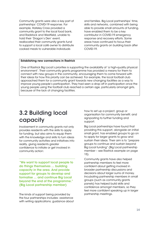Community grants were also a key part of partnerships' COVID-19 response. For example, Hateley Cross provided a community grant to the local food bank, and Radstock and Westfield, unable to hold their 'Dragon's Den' event, reallocated their community grants fund to support a local café owner to distribute cooked meals to vulnerable individuals

and families. Big Local partnerships' time, skills and networks, combined with being able to provide small amounts of funding, have enabled them to be a key contributor in COVID-19 emergency response and recovery efforts. Some areas have continued to focus their community grants on building back after COVID-19.

#### Establishing new connections in Rastrick

One of Rastrick Big Local's priorities is supporting the availability of 'a high-quality physical environment'. Their community grants programme has provided a means for them to connect with new groups in the community, encouraging them to come forward with their ideas for how this priority can be achieved. For example, the local football club approached them for a community grant towards new changing facilities as a way to improve young people's participation. They had seen a drop off in participation once the young people using the football club reached a certain age, particularly amongst girls, because of the lack of changing facilities.

### 3.2 Building local capacity

Involvement in community grants not only provides residents with the skills to apply for funding, but also aims to equip them with the knowledge and skills to turn ideas for community activities and initiatives into reality, giving residents greater confidence to initiate or get involved in community action:

"We want to support local people to do things themselves … building capacity in the area. And provide support for groups to develop and formalise … and continue Big Local beyond the end of the programme." (Big Local partnership member)

The kinds of support being provided by the four partnerships includes: assistance with writing applications; guidance about how to set up a project, group or organisation for community benefit; and signposting to further funding and support.

Big Local partnerships have found that providing this support, alongside an initial small grant, has enabled groups to go on to apply for larger grants to grow and sustain their ideas. Their aim is to "prepare groups to continue and sustain beyond Big Local funding" (Big Local partnership member – see Rastrick example on page 15).

Community grants have also helped partnership members to feel more confident about getting involved in broader partnership discussions and decisions about larger sums of money. Incubating partnership members in small groups (such as community grants panels) has helped build skills and confidence amongst members, so they feel more confident speaking up in larger partnership meetings.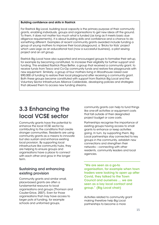#### Building confidence and skills in Rastrick

For Rastrick Big Local, building local capacity is the primary purpose of their community grants, enabling individuals, groups and organisations to get new ideas off the ground. To them, it does not matter too much what is funded (as long as it meets basic due diligence requirements), it is about building skills and confidence and a chance to do something different. Examples of recent community grants awarded include funding a group of young mothers to improve their local playground, a 'Bricks for Kids' project which uses Lego as an educational tool (now a successful business), a pilot sewing project and an art group.

Rastrick Big Local have also supported and encouraged groups to formalise their set-up, for example by becoming constituted, to increase their eligibility for further support and funding. This enabled Rastrick Plays Better, a group that received a community grant, to receive funds from Tesco and Co-Op community funds and restore five playgrounds with new equipment. Similarly, a group of four mothers living in Woodhouse raised over £90,000 of funding to restore their local playground after receiving a community grant. Both these groups became constituted with support from Rastrick Big Local and the Voluntary Sector Infrastructure Alliance Calderdale, developing policies and strategies that allowed them to access new funding streams.

### 3.3 Enhancing the local VCSE sector

Community grants have the potential to enhance the local VCSE sector by contributing to the conditions that create stronger communities. Residents are using community grants as a means to innovate but also sustain and enhance existing local provision. By supporting local infrastructure like community hubs, they are helping to ensure groups and organisations have a place to connect with each other and grow in the longer term.

### Sustaining and enhancing existing provision

Community grants and similar small, place-based grants are often a fundamental resource to local organisations and groups (Thomson and Caulier-Grice, 2007). Even for those organisations that may have access to larger pots of funding, for example schools and uniformed groups,

community grants can help to fund things like one-off activities or equipment costs that fall outside of their designated project budget or core costs.

Partnerships recognise the importance of existing groups having access to small grants to enhance or keep activities going. In turn, by supporting them, Big Local partnerships stay connected to key groups in the community, establish new connections and strengthen their networks – connecting with other residents, community leaders and local agencies.

"We are seen as a go-to organisation, for example when town traders were looking to open up after Covid, they talked to the Town Council and ourselves … we are seen as a key local contact and group." (Big Local chair)

Activities related to community grant making therefore help Big Local partnerships to become a more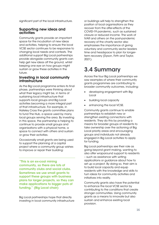significant part of the local infrastructure.

### Supporting new ideas and activities

Community grants provide an important space for the incubation of new ideas and activities, helping to ensure the local VCSE sector continues to be responsive to changing local needs and contexts. The additional support Big Local partnerships provide alongside community grants can help get new ideas off the ground, whilst keeping one eye on how groups might sustain or grow these activities in the future.

### Investing in local community infrastructure

As the Big Local programme enters its final phase, partnerships were thinking about what their legacy might be, in terms of sustaining local infrastructure that supports local groups and Big Local activities becoming a more integral part of that infrastructure. For example, in Hateley Cross the grants committee plans to fund The Hub, a space used by many local groups serving the area. By investing in this space, the partnership is helping to continue to provide small groups and organisations with a physical home, a space to connect with others and sustain or grow their activities.

Occasionally small grants are being used to support the planning of a capital project where a community group wishes to improve or repair their building:

"This is an ex-coal mining community, so there are lots of community clubs and social clubs. Sometimes we use small grants to support these groups with business plans for larger projects, so they can make applications to bigger pots of funding." (Big Local chair)

Big Local partnerships hope that directly investing in local community infrastructure or buildings will help to strengthen the position of local organisations as they recover from the after-effects of the COVID-19 pandemic, such as sustained closure or reduced income. The work of IVAR and others on the post-pandemic recovery of the charity sector also emphasises the importance of giving voluntary and community sector leaders time and headspace to plan for longerterm recovery (Dyson, Firth and Taylor, 2021).

## 3.4 Summary

Across the four Big Local partnerships we saw examples of where their community grants programmes are contributing to broader community outcomes, including:

- developing engagement with Big **Local**
- building local capacity
- enhancing the local VCSE.

Community grants continue to enable partnerships to establish new or strengthen existing connections with residents. They do this by providing a means for broader groups of residents to take ownership over the actioning of Big Local priority areas and encouraging groups and individuals not already engaged in Big Local activities to apply for funding.

Big Local partnerships see their role as going beyond grant making, wanting to also offer wraparound support to residents – such as assistance with writing applications or guidance about how to set up a project. By doing so, their aim is to build local capacity and equip residents with the knowledge and skills to turn ideas for community activities and initiatives into reality.

Community grants also have the potential to enhance the local VCSE sector by contributing to the conditions that create stronger communities. Using community grants as a means to innovate but also sustain and enhance existing local provision.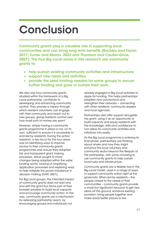## Conclusion

Community grants play a valuable role in supporting local communities and can bring long term benefits (Buckley and Taylor, 2017; Turner and Moran, 2022 and Thomson and Caulier-Grice, 2007). The four Big Local areas in this research use community grants to:

- help sustain existing community activities and infrastructure
- support new ideas and activities
- provide the seed funding needed for some groups to secure further funding and grow or sustain their work.

We also saw how community grants, situated within the framework of a Big Local partnership, contribute to developing and enhancing community control. They provide a means through which resident volunteers can engage with their community and reach out to new groups, giving residents control over how small pots of money are spent.

However, simply having a community grants programme in place is not, on its own, sufficient to ensure it is accessible to and led by residents. During the action research, a key focus for the four areas was on identifying ways to improve access to their community grants programmes and ensure they adopted fair and transparent grant making processes. Areas sought to mirror changes being adopted within the wider funding sector, looking at simplifying application processes and exploring ways to help mitigate the power imbalance in decision making (IVAR, 2021).

For Big Local groups, the intended impact of community grants does not start and end with the grant but forms part of their broader priorities to build local capacity and encourage community action. In this way, community grants are a mechanism for extending partnership reach, by encouraging groups and individuals not

already engaged in Big Local activities to apply for funding. This helps partnerships establish new connections and strengthen their networks – connecting with other residents, community leaders and local agencies.

Partnerships also offer support alongside the grant, using it as an opportunity to build capacity and equip residents with the knowledge, skills and confidence to turn ideas for community activities and initiatives into reality.

As the Big Local programme is entering its final phase, partnerships are thinking about where and how they might enhance the local voluntary and community sector beyond the lifespan of the partnership, with some choosing to use community grants to help sustain local hubs and infrastructure.

Community grants are a flexible tool in the Big Local model, used in a range of ways to support community action right at the grassroots. When led by residents – the people closest to the needs of their communities – community grants provide a small but significant resource to get new ideas off the ground, enhance existing provision, bring people together and make areas better places to live.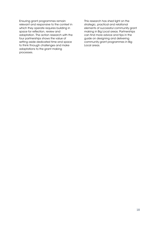Ensuring grant programmes remain relevant and responsive to the context in which they operate requires building in space for reflection, review and adaptation. The action research with the four partnerships shows the value of setting aside dedicated time and space to think through challenges and make adaptations to the grant making processes.

This research has shed light on the strategic, practical and relational elements of successful community grant making in Big Local areas. Partnerships can find more advice and tips in the guide on designing and delivering community grant programmes in Big Local areas.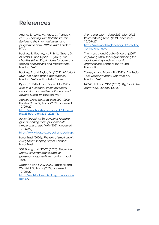### **References**

Anand, S., Lewis, M., Pace, C., Turner, K. (2021). *Learning from Shift the Power: Reviewing the intermediary funding programme from 2019 to 2021*. London: IVAR.

Buckley, E., Rooney, K., Firth, L., Green, G., Akintola, F. and Dyson, E. (2022). *Let charities shine: Six principles for open and trusting applications and assessments*. London: IVAR.

Buckley, E. and Taylor, M. (2017). *Historical review of place based approaches*. London: IVAR and Lankelly Chase.

Dyson, E., Firth, L. and Taylor. M. (2021). *Birds in a hurricane: Voluntary sector adaptation and resilience through and beyond Covid-19.* London: IVAR.

*Hateley Cross Big Local Plan 2021-2026*. Hateley Cross Big Local (2021, accessed 12/05/22),

[http://www.hateleycross.org.uk/docume](http://www.hateleycross.org.uk/documents/25-hcbl-plan-2021-2026/file) [nts/25-hcbl-plan-2021-2026/file.](http://www.hateleycross.org.uk/documents/25-hcbl-plan-2021-2026/file)

*Better Reporting: Six principles to make grant reporting more proportionate, simple and useful.* IVAR (2021, accessed 12/05/22),

[https://www.ivar.org.uk/better-reporting/.](https://www.ivar.org.uk/better-reporting/)

Local Trust (2020). *The role of small grants in Big Local: scoping paper*. London: Local Trust.

360 Giving and NCVO (2020). *Below the Radar: Exploring grants data for grassroots organisations*. London: Local Trust.

*Dragon's Den 8 July 2022.* Radstock and Westfield Big Local (2022, accessed 12/05/22),

[https://radstockwestfield.org.uk/dragons](https://radstockwestfield.org.uk/dragons-den-8/)[den-8/.](https://radstockwestfield.org.uk/dragons-den-8/)

*A one year plan – June 2021-May 2022*. Roseworth Big Local (2021, accessed 12/05/22), [https://roseworthbiglocal.org.uk/creating](https://roseworthbiglocal.org.uk/creating-lasting-change/)

[-lasting-change/.](https://roseworthbiglocal.org.uk/creating-lasting-change/)

Thomson, L. and Caulier-Grice, J. (2007). *Improving small scale grant funding for local voluntary and community organisations.* London: The Young Foundation.

Turner, K. and Moran, R. (2022). *The Tudor Trust wellbeing grant: One year on*. London: IVAR.

NCVO, IVR and OPM (2014). *Big Local: the early years*. London: NCVO.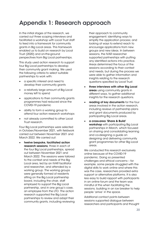### Appendix 1: Research approach

In the initial stages of the research, we carried out three scoping interviews and facilitated a workshop with Local Trust staff to feed into a framework for community grants in Big Local areas. This framework enabled us to build on research by Local Trust (2020) and on-the-ground perspectives from Big Local partnerships.

This study used action research to support four Big Local partnerships to develop their community grant making. We used the following criteria to select suitable partnerships to work with:

- a specific interest and need to develop their community grants
- a relatively large amount of Big Local money left to spend
- applications to their community grants programmes had reduced since the COVID-19 pandemic
- ability to form a working group to attend four action research workshops
- not already committed to other Local Trust research.

Four Big Local partnerships were selected in October/November 2021, with fieldwork carried out between November 2021 and March 2022. We carried out:

• twelve bespoke, facilitated action research sessions, three in each of the four Big Local partnerships, spread out between November 2021 and March 2022. The sessions were tailored to the context and needs of the Big Local area, led by an IVAR facilitator and researcher, and attended by a working group. The working groups were generally formed of residents sitting on the Big Local partnership board, including the chair, staff employed to support the Big Local partnership, and in one group's case, an employee from the LTO. The action research supported the Big Local partnerships to review and adapt their community grants, including reviewing

their approach to community engagement; identifying ways to simplify the application process; and looking at ways to extend reach to encourage applications from new groups and new ideas. In between sessions, the IVAR researcher supported partnerships with putting any identified actions into practice. Areas determined the focus of the sessions according to their context and needs, but during the process we were able to gather information and insights relating to the research questions specified by Local Trust.

- three interviews with other Big Local areas using community grants in different ways, to gather additional insights for the research questions.
- reading of key documents for the four areas involved in the action research, including reviews of partnership plans and grant documents produced by participating Big Local areas.
- a cross-area 'Share & Build' workshop with participating Big Local partnerships in March, which focused on sharing and consolidating learning and co-designing a guide on designing and delivering community grant programmes for other Big Local areas.

We conducted this research exclusively online because of the COVID-19 pandemic. Doing so presented challenges and ethical concerns – for example, some people struggled with the digital skills to work online and where this was the case, researchers provided extra support or alternative platforms. It is also less easy to build rapport with participants in an online forum and the team was mindful of this when facilitating the sessions, building in an ice breaker to help people 'arrive' in the space.

Additional contact points between sessions supported dialogue between researchers and participants and thought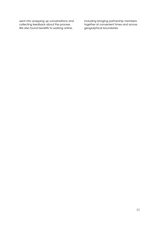went into wrapping up conversations and collecting feedback about the process. We also found benefits to working online,

including bringing partnership members together at convenient times and across geographical boundaries.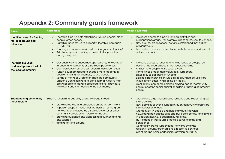### Appendix 2: Community grants framework

| <b>Drivers</b>                                                                 | <b>Approaches</b>                                                                                                                                                                                                                                                                                                                                                                                                                                                                                                                       | <b>Intended outcomes</b>                                                                                                                                                                                                                                                                                                                                                                                                                                                                                                                                                                                            |
|--------------------------------------------------------------------------------|-----------------------------------------------------------------------------------------------------------------------------------------------------------------------------------------------------------------------------------------------------------------------------------------------------------------------------------------------------------------------------------------------------------------------------------------------------------------------------------------------------------------------------------------|---------------------------------------------------------------------------------------------------------------------------------------------------------------------------------------------------------------------------------------------------------------------------------------------------------------------------------------------------------------------------------------------------------------------------------------------------------------------------------------------------------------------------------------------------------------------------------------------------------------------|
| Identified need for funding<br>for local groups and<br>initiatives             | Thematic funding pots established (young people, older<br>people, green spaces).<br>Hardship funds set up to support vulnerable individuals<br>$\bullet$<br>(COVID-19).<br>Funding for popular activities (keeping good stuff going).<br>Additional specific funding to cover staff support time<br>during the grant.                                                                                                                                                                                                                   | Increases access to funding for local activities and<br>organisations/groups, for example, sports clubs, scouts, schools.<br>New groups/organisations/activities established that did not<br>previously exist.<br>Partnerships become more aligned with the needs and interests<br>$\bullet$<br>of the community.                                                                                                                                                                                                                                                                                                   |
| <b>Increase Big Local</b><br>partnership's reach within<br>the local community | Outreach work to encourage applications, for example,<br>$\bullet$<br>through funding events or a Big Local paid worker.<br>Connecting with other local fundraising/support offers.<br>$\bullet$<br>Funding subcommittees to engage more residents in<br>$\bullet$<br>decision making, for example, young people.<br>Range of methods used to engage the community:<br>Dragon's Den/pitching to a panel format; website that<br>allows people to 'donate allocated tokens'; showcase-<br>style event and then ballots to the community. | Increase access to funding for a wide range of groups (get<br>beyond 'the usual suspects' that receive funding).<br>Attract more people to Big Local's work.<br>Partnerships attract more volunteers/supporters.<br>Small groups get their first funding.<br>Big Local partnerships ensure Big Local funded activities are<br>linked in with other things going on locally.<br>Small grants can complement a physical space/community<br>$\bullet$<br>centre, boosting social capital or building trust in a community<br>centre.                                                                                   |
| <b>Strengthening community</b><br>infrastructure                               | Building fundraising capacity and knowledge through:<br>providing advice and assistance on grant submissions<br>in-person support throughout the duration of the grant<br>(for example, provided by a Big Local worker or other<br>community development worker at the LTO)<br>providing guidance and signposting to further funding<br>and support<br>funding existing groups.<br>$\bullet$                                                                                                                                            | Groups and organisations build resilience and sustain or grow<br>their activities.<br>New activities or events funded through community grants are<br>thriving/well attended.<br>Grants invest in people and help individuals develop<br>new/strengthen existing skills and build confidence, for example,<br>in decision making/leadership/fundraising.<br>Trust placed in individuals creates a sense of pride and<br>$\bullet$<br>confidence.<br>Community grants support local networks by giving<br>residents/groups/organisations a reason to connect.<br>Grant making helps partnerships develop new skills. |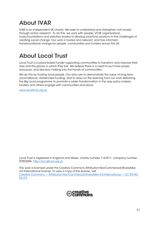## About IVAR

IVAR is an independent UK charity. We seek to understand and strengthen civil society through action research. To do this, we work with people, VCSE organisations, trusts/foundations and statutory bodies to develop practical solutions to the challenges of creating social change. Our work is trusted and relevant, and has informed transformational change for people, communities and funders across the UK.

### About Local Trust

Local Trust is a place-based funder supporting communities to transform and improve their lives and the places in which they live. We believe there is a need to put more power, resources, and decision making into the hands of communities.

We do this by trusting local people. Our aims are to demonstrate the value of long term, unconditional, resident-led funding, and to draw on the learning from our work delivering the Big Local programme to promote a wider transformation in the way policy makers, funders and others engage with communities and place.

[www.localtrust.org.uk](http://www.localtrust.org.uk/)

Local Trust is registered in England and Wales, charity number 1147511, company number 07833396. [http://localtrust.org.uk](http://localtrust.org.uk/)

This work is licensed under the Creative Commons Attribution-NonCommercial-ShareAlike 4.0 International License. To view a copy of this license, visit Creative Commons — [Attribution-NonCommercial-ShareAlike 4.0 International](https://creativecommons.org/licenses/by-nc-sa/4.0/) — CC BY-NC-[SA 4.0](https://creativecommons.org/licenses/by-nc-sa/4.0/)